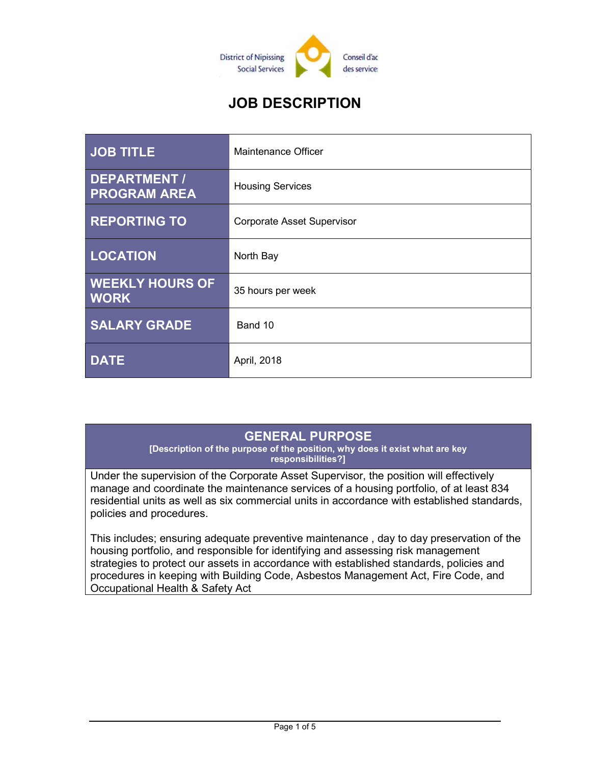

# JOB DESCRIPTION

| <b>JOB TITLE</b>                           | Maintenance Officer               |
|--------------------------------------------|-----------------------------------|
| <b>DEPARTMENT /</b><br><b>PROGRAM AREA</b> | <b>Housing Services</b>           |
| <b>REPORTING TO</b>                        | <b>Corporate Asset Supervisor</b> |
| <b>LOCATION</b>                            | North Bay                         |
| <b>WEEKLY HOURS OF</b><br><b>WORK</b>      | 35 hours per week                 |
| <b>SALARY GRADE</b>                        | Band 10                           |
| <b>DATE</b>                                | April, 2018                       |

## GENERAL PURPOSE

[Description of the purpose of the position, why does it exist what are key responsibilities?]

Under the supervision of the Corporate Asset Supervisor, the position will effectively manage and coordinate the maintenance services of a housing portfolio, of at least 834 residential units as well as six commercial units in accordance with established standards, policies and procedures.

This includes; ensuring adequate preventive maintenance , day to day preservation of the housing portfolio, and responsible for identifying and assessing risk management strategies to protect our assets in accordance with established standards, policies and procedures in keeping with Building Code, Asbestos Management Act, Fire Code, and Occupational Health & Safety Act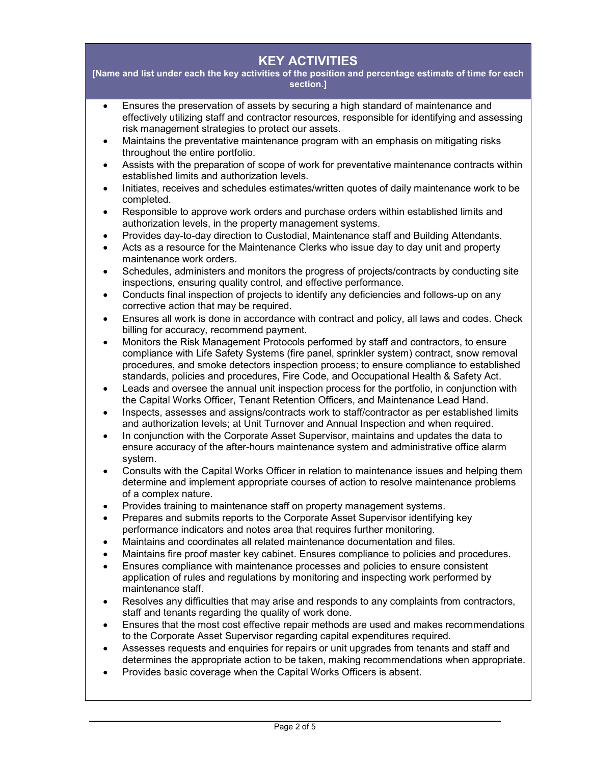## KEY ACTIVITIES

[Name and list under each the key activities of the position and percentage estimate of time for each section.]

- Ensures the preservation of assets by securing a high standard of maintenance and effectively utilizing staff and contractor resources, responsible for identifying and assessing risk management strategies to protect our assets.
- Maintains the preventative maintenance program with an emphasis on mitigating risks throughout the entire portfolio.
- Assists with the preparation of scope of work for preventative maintenance contracts within established limits and authorization levels.
- Initiates, receives and schedules estimates/written quotes of daily maintenance work to be completed.
- Responsible to approve work orders and purchase orders within established limits and authorization levels, in the property management systems.
- Provides day-to-day direction to Custodial, Maintenance staff and Building Attendants.
- Acts as a resource for the Maintenance Clerks who issue day to day unit and property maintenance work orders.
- Schedules, administers and monitors the progress of projects/contracts by conducting site inspections, ensuring quality control, and effective performance.
- Conducts final inspection of projects to identify any deficiencies and follows-up on any corrective action that may be required.
- Ensures all work is done in accordance with contract and policy, all laws and codes. Check billing for accuracy, recommend payment.
- Monitors the Risk Management Protocols performed by staff and contractors, to ensure compliance with Life Safety Systems (fire panel, sprinkler system) contract, snow removal procedures, and smoke detectors inspection process; to ensure compliance to established standards, policies and procedures, Fire Code, and Occupational Health & Safety Act.
- Leads and oversee the annual unit inspection process for the portfolio, in conjunction with the Capital Works Officer, Tenant Retention Officers, and Maintenance Lead Hand.
- Inspects, assesses and assigns/contracts work to staff/contractor as per established limits and authorization levels; at Unit Turnover and Annual Inspection and when required.
- In conjunction with the Corporate Asset Supervisor, maintains and updates the data to ensure accuracy of the after-hours maintenance system and administrative office alarm system.
- Consults with the Capital Works Officer in relation to maintenance issues and helping them determine and implement appropriate courses of action to resolve maintenance problems of a complex nature.
- Provides training to maintenance staff on property management systems.
- Prepares and submits reports to the Corporate Asset Supervisor identifying key performance indicators and notes area that requires further monitoring.
- Maintains and coordinates all related maintenance documentation and files.
- Maintains fire proof master key cabinet. Ensures compliance to policies and procedures.
- Ensures compliance with maintenance processes and policies to ensure consistent application of rules and regulations by monitoring and inspecting work performed by maintenance staff.
- Resolves any difficulties that may arise and responds to any complaints from contractors, staff and tenants regarding the quality of work done.
- Ensures that the most cost effective repair methods are used and makes recommendations to the Corporate Asset Supervisor regarding capital expenditures required.
- Assesses requests and enquiries for repairs or unit upgrades from tenants and staff and determines the appropriate action to be taken, making recommendations when appropriate.
- Provides basic coverage when the Capital Works Officers is absent.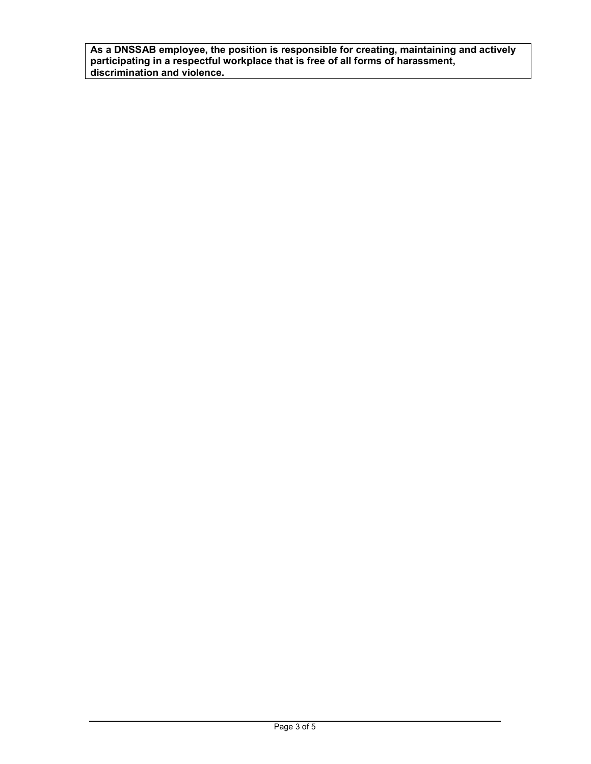As a DNSSAB employee, the position is responsible for creating, maintaining and actively participating in a respectful workplace that is free of all forms of harassment, discrimination and violence.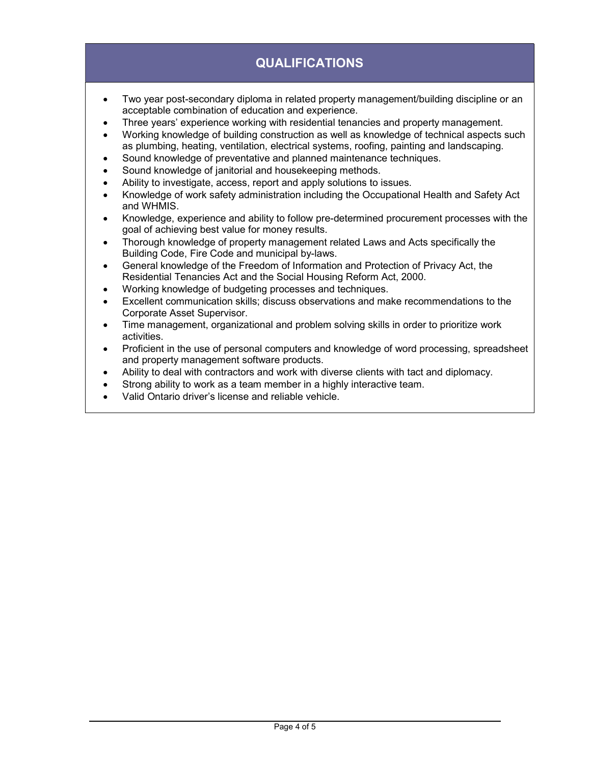## QUALIFICATIONS

- Two year post-secondary diploma in related property management/building discipline or an acceptable combination of education and experience.
- Three years' experience working with residential tenancies and property management.
- Working knowledge of building construction as well as knowledge of technical aspects such as plumbing, heating, ventilation, electrical systems, roofing, painting and landscaping.
- Sound knowledge of preventative and planned maintenance techniques.
- Sound knowledge of janitorial and housekeeping methods.
- Ability to investigate, access, report and apply solutions to issues.
- Knowledge of work safety administration including the Occupational Health and Safety Act and WHMIS.
- Knowledge, experience and ability to follow pre-determined procurement processes with the goal of achieving best value for money results.
- Thorough knowledge of property management related Laws and Acts specifically the Building Code, Fire Code and municipal by-laws.
- General knowledge of the Freedom of Information and Protection of Privacy Act, the Residential Tenancies Act and the Social Housing Reform Act, 2000.
- Working knowledge of budgeting processes and techniques.
- Excellent communication skills; discuss observations and make recommendations to the Corporate Asset Supervisor.
- Time management, organizational and problem solving skills in order to prioritize work activities.
- Proficient in the use of personal computers and knowledge of word processing, spreadsheet and property management software products.
- Ability to deal with contractors and work with diverse clients with tact and diplomacy.
- Strong ability to work as a team member in a highly interactive team.
- Valid Ontario driver's license and reliable vehicle.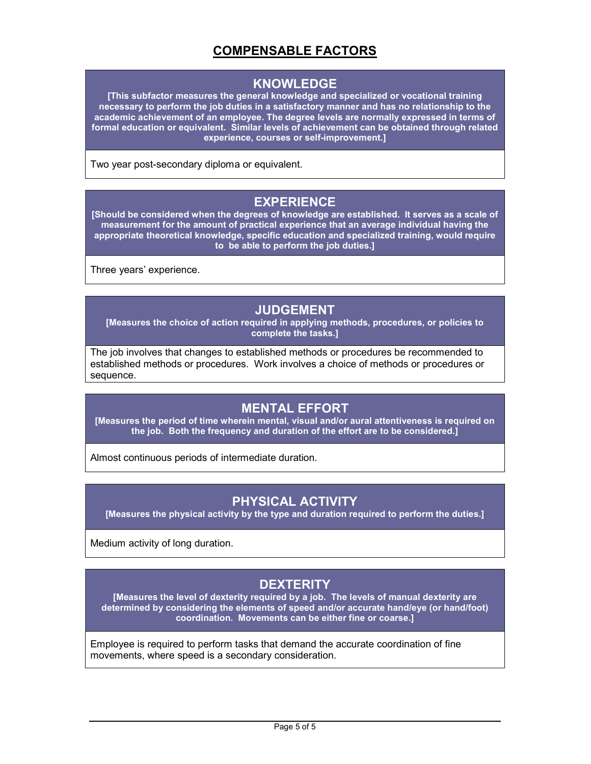## COMPENSABLE FACTORS

#### KNOWLEDGE

[This subfactor measures the general knowledge and specialized or vocational training necessary to perform the job duties in a satisfactory manner and has no relationship to the academic achievement of an employee. The degree levels are normally expressed in terms of formal education or equivalent. Similar levels of achievement can be obtained through related experience, courses or self-improvement.]

Two year post-secondary diploma or equivalent.

## EXPERIENCE

[Should be considered when the degrees of knowledge are established. It serves as a scale of measurement for the amount of practical experience that an average individual having the appropriate theoretical knowledge, specific education and specialized training, would require to be able to perform the job duties.]

Three years' experience.

### JUDGEMENT

[Measures the choice of action required in applying methods, procedures, or policies to complete the tasks.]

The job involves that changes to established methods or procedures be recommended to established methods or procedures. Work involves a choice of methods or procedures or sequence.

#### MENTAL EFFORT

[Measures the period of time wherein mental, visual and/or aural attentiveness is required on the job. Both the frequency and duration of the effort are to be considered.]

Almost continuous periods of intermediate duration.

## PHYSICAL ACTIVITY

[Measures the physical activity by the type and duration required to perform the duties.]

Medium activity of long duration.

## **DEXTERITY**

[Measures the level of dexterity required by a job. The levels of manual dexterity are determined by considering the elements of speed and/or accurate hand/eye (or hand/foot) coordination. Movements can be either fine or coarse.]

Employee is required to perform tasks that demand the accurate coordination of fine movements, where speed is a secondary consideration.